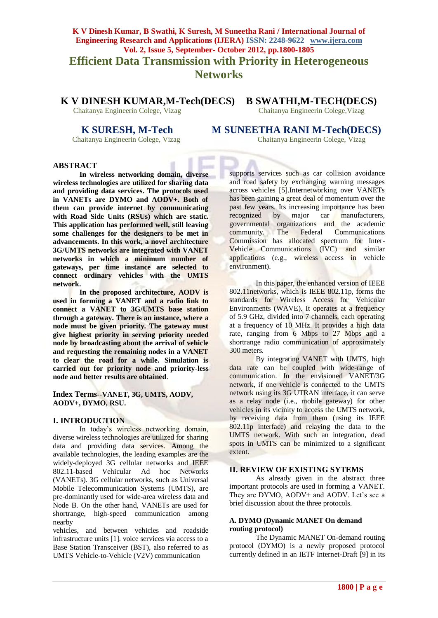# **K V Dinesh Kumar, B Swathi, K Suresh, M Suneetha Rani / International Journal of Engineering Research and Applications (IJERA) ISSN: 2248-9622 www.ijera.com Vol. 2, Issue 5, September- October 2012, pp.1800-1805 Efficient Data Transmission with Priority in Heterogeneous Networks**

**K V DINESH KUMAR,M-Tech(DECS) B SWATHI,M-TECH(DECS)**

Chaitanya Engineerin Colege, Vizag Chaitanya Engineerin Colege,Vizag

**K SURESH, M-Tech M SUNEETHA RANI M-Tech(DECS)**<br>
Chaitanya Engineerin Colege, Vizag<br>
Chaitanya Engineerin Colege, Vizag

Chaitanya Engineerin Colege, Vizag Chaitanya Engineerin Colege, Vizag

#### **ABSTRACT**

**In wireless networking domain, diverse wireless technologies are utilized for sharing data and providing data services. The protocols used in VANETs are DYMO and AODV+. Both of them can provide internet by communicating with Road Side Units (RSUs) which are static. This application has performed well, still leaving some challenges for the designers to be met in advancements. In this work, a novel architecture 3G/UMTS networks are integrated with VANET networks in which a minimum number of gateways, per time instance are selected to connect ordinary vehicles with the UMTS network.**

**In the proposed architecture, AODV is used in forming a VANET and a radio link to connect a VANET to 3G/UMTS base station through a gateway. There is an instance, where a node must be given priority. The gateway must give highest priority in serving priority needed node by broadcasting about the arrival of vehicle and requesting the remaining nodes in a VANET to clear the road for a while. Simulation is carried out for priority node and priority-less node and better results are obtained**.

**Index Terms--VANET, 3G, UMTS, AODV, AODV+, DYMO, RSU.**

#### **I. INTRODUCTION**

In today's wireless networking domain, diverse wireless technologies are utilized for sharing data and providing data services. Among the available technologies, the leading examples are the widely-deployed 3G cellular networks and IEEE 802.11-based Vehicular Ad hoc Networks (VANETs). 3G cellular networks, such as Universal Mobile Telecommunication Systems (UMTS), are pre-dominantly used for wide-area wireless data and Node B. On the other hand, VANETs are used for shortrange, high-speed communication among nearby

vehicles, and between vehicles and roadside infrastructure units [1]. voice services via access to a Base Station Transceiver (BST), also referred to as UMTS Vehicle-to-Vehicle (V2V) communication

supports services such as car collision avoidance and road safety by exchanging warning messages across vehicles [5].Internetworking over VANETs has been gaining a great deal of momentum over the past few years. Its increasing importance has been<br>recognized by major car manufacturers, recognized by major car manufacturers, governmental organizations and the academic community. The Federal Communications Commission has allocated spectrum for Inter-Vehicle Communications (IVC) and similar applications (e.g., wireless access in vehicle environment).

In this paper, the enhanced version of IEEE 802.11networks, which is IEEE 802.11p, forms the standards for Wireless Access for Vehicular Environments (WAVE). It operates at a frequency of 5.9 GHz, divided into 7 channels, each operating at a frequency of 10 MHz. It provides a high data rate, ranging from 6 Mbps to 27 Mbps and a shortrange radio communication of approximately 300 meters.

By integrating VANET with UMTS, high data rate can be coupled with wide-range of communication. In the envisioned VANET/3G network, if one vehicle is connected to the UMTS network using its 3G UTRAN interface, it can serve as a relay node (i.e., mobile gateway) for other vehicles in its vicinity to access the UMTS network, by receiving data from them (using its IEEE 802.11p interface) and relaying the data to the UMTS network. With such an integration, dead spots in UMTS can be minimized to a significant extent.

### **II. REVIEW OF EXISTING SYTEMS**

As already given in the abstract three important protocols are used in forming a VANET. They are DYMO, AODV+ and AODV. Let's see a brief discussion about the three protocols.

#### **A. DYMO (Dynamic MANET On demand routing protocol)**

The Dynamic MANET On-demand routing protocol (DYMO) is a newly proposed protocol currently defined in an IETF Internet-Draft [9] in its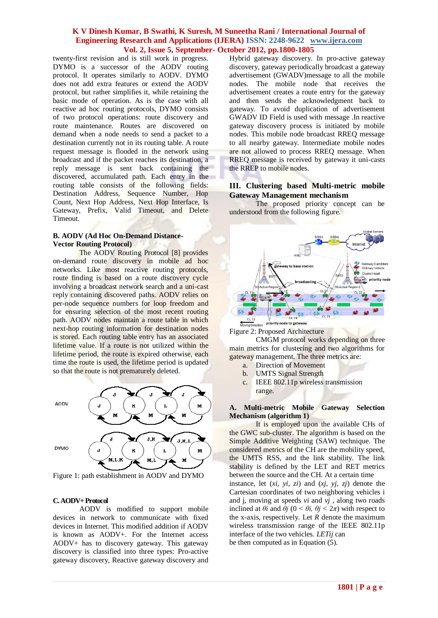twenty-first revision and is still work in progress. DYMO is a successor of the AODV routing protocol. It operates similarly to AODV. DYMO does not add extra features or extend the AODV protocol, but rather simplifies it, while retaining the basic mode of operation. As is the case with all reactive ad hoc routing protocols, DYMO consists of two protocol operations: route discovery and route maintenance. Routes are discovered on demand when a node needs to send a packet to a destination currently not in its routing table. A route request message is flooded in the network using broadcast and if the packet reaches its destination, a reply message is sent back containing the discovered, accumulated path. Each entry in the routing table consists of the following fields: Destination Address, Sequence Number, Hop Count, Next Hop Address, Next Hop Interface, Is Gateway, Prefix, Valid Timeout, and Delete Timeout.

#### **B. AODV (Ad Hoc On-Demand Distance-Vector Routing Protocol)**

The AODV Routing Protocol [8] provides on-demand route discovery in mobile ad hoc networks. Like most reactive routing protocols, route finding is based on a route discovery cycle involving a broadcast network search and a uni-cast reply containing discovered paths. AODV relies on per-node sequence numbers for loop freedom and for ensuring selection of the most recent routing path. AODV nodes maintain a route table in which next-hop routing information for destination nodes is stored. Each routing table entry has an associated lifetime value. If a route is not utilized within the lifetime period, the route is expired otherwise, each time the route is used, the lifetime period is updated so that the route is not prematurely deleted.



Figure 1: path establishment in AODV and DYMO

#### **C. AODV+ Protocol**

AODV is modified to support mobile devices in network to communicate with fixed devices in Internet. This modified addition if AODV is known as AODV+. For the Internet access AODV+ has to discovery gateway. This gateway discovery is classified into three types: Pro-active gateway discovery, Reactive gateway discovery and Hybrid gateway discovery. In pro-active gateway discovery, gateway periodically broadcast a gateway advertisement (GWADV)message to all the mobile nodes. The mobile node that receives the advertisement creates a route entry for the gateway and then sends the acknowledgment back to gateway. To avoid duplication of advertisement GWADV ID Field is used with message .In reactive gateway discovery process is initiated by mobile nodes. This mobile node broadcast RREQ message to all nearby gateway. Intermediate mobile nodes are not allowed to process RREQ message. When RREQ message is received by gateway it uni-casts the RREP to mobile nodes.

#### **III. Clustering based Multi-metric mobile Gateway Management mechanism**

The proposed priority concept can be understood from the following figure.



Figure 2: Proposed Architecture

CMGM protocol works depending on three main metrics for clustering and two algorithms for gateway management. The three metrics are:

- a. Direction of Movement
- b. UMTS Signal Strength
- c. IEEE 802.11p wireless transmission range.

#### **A. Multi-metric Mobile Gateway Selection Mechanism (algorithm 1)**

It is employed upon the available CHs of the GWC sub-cluster. The algorithm is based on the Simple Additive Weighting (SAW) technique. The considered metrics of the CH are the mobility speed, the UMTS RSS, and the link stability. The link stability is defined by the LET and RET metrics between the source and the CH. At a certain time instance, let (*xi, yi, zi*) and (*xj, yj, zj*) denote the Cartesian coordinates of two neighboring vehicles i and j, moving at speeds *vi* and *vj* , along two roads inclined at  $\theta i$  and  $\theta j$  ( $0 \le \theta i$ ,  $\theta j \le 2\pi$ ) with respect to the x-axis, respectively. Let *R* denote the maximum wireless transmission range of the IEEE 802.11p interface of the two vehicles. *LETij* can be then computed as in Equation (5).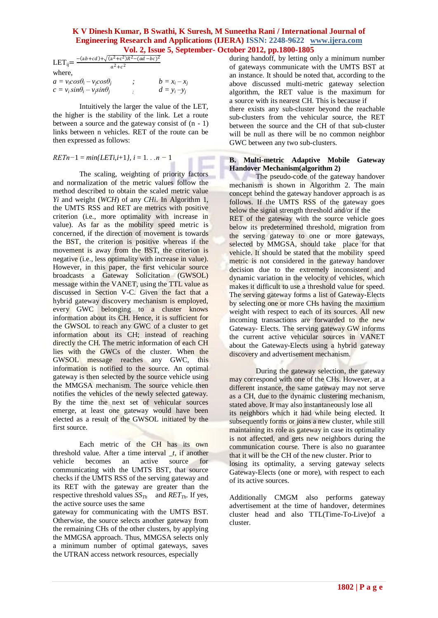$LET_{ij} = \frac{-(ab+cd)+\sqrt{(a^2+c^2)R^2-(ad-bc)^2}}{a^2+c^2}$  $a^2+c^2$ where,  $a = v_i cos \theta_i - v_i cos \theta_j$  ;  $b = x_i - x_j$  $c = v_i \sin\theta_i - v_i \sin\theta_j$  *;*  $d = y_i - y_j$ 

Intuitively the larger the value of the LET, the higher is the stability of the link. Let a route between a source and the gateway consist of (n - 1) links between n vehicles. RET of the route can be then expressed as follows:

$$
RETn-1 = min\{LETi, i+1\}, i = 1...n-1
$$

The scaling, weighting of priority factors and normalization of the metric values follow the method described to obtain the scaled metric value *Yi* and weight (*WCH*) of any *CHi*. In Algorithm 1, the UMTS RSS and RET are metrics with positive criterion (i.e., more optimality with increase in value). As far as the mobility speed metric is concerned, if the direction of movement is towards the BST, the criterion is positive whereas if the movement is away from the BST, the criterion is negative (i.e., less optimality with increase in value). However, in this paper, the first vehicular source broadcasts a Gateway Solicitation (GWSOL) message within the VANET, using the TTL value as discussed in Section V-C. Given the fact that a hybrid gateway discovery mechanism is employed, every GWC belonging to a cluster knows information about its CH. Hence, it is sufficient for the GWSOL to reach any GWC of a cluster to get information about its CH; instead of reaching directly the CH. The metric information of each CH lies with the GWCs of the cluster. When the GWSOL message reaches any GWC, this information is notified to the source. An optimal gateway is then selected by the source vehicle using the MMGSA mechanism. The source vehicle then notifies the vehicles of the newly selected gateway. By the time the next set of vehicular sources emerge, at least one gateway would have been elected as a result of the GWSOL initiated by the first source.

Each metric of the CH has its own threshold value. After a time interval *, if another* vehicle becomes an active source for communicating with the UMTS BST, that source checks if the UMTS RSS of the serving gateway and its RET with the gateway are greater than the respective threshold values  $SS_{Th}$  and  $RET_{Th}$ . If yes, the active source uses the same

gateway for communicating with the UMTS BST. Otherwise, the source selects another gateway from the remaining CHs of the other clusters, by applying the MMGSA approach. Thus, MMGSA selects only a minimum number of optimal gateways, saves the UTRAN access network resources, especially

during handoff, by letting only a minimum number of gateways communicate with the UMTS BST at an instance. It should be noted that, according to the above discussed multi-metric gateway selection algorithm, the RET value is the maximum for a source with its nearest CH. This is because if

there exists any sub-cluster beyond the reachable sub-clusters from the vehicular source, the RET between the source and the CH of that sub-cluster will be null as there will be no common neighbor GWC between any two sub-clusters.

#### **B. Multi-metric Adaptive Mobile Gateway Handover Mechanism(algorithm 2)**

The pseudo-code of the gateway handover mechanism is shown in Algorithm 2. The main concept behind the gateway handover approach is as follows. If the UMTS RSS of the gateway goes below the signal strength threshold and/or if the RET of the gateway with the source vehicle goes below its predetermined threshold, migration from the serving gateway to one or more gateways, selected by MMGSA, should take place for that vehicle. It should be stated that the mobility speed metric is not considered in the gateway handover decision due to the extremely inconsistent and dynamic variation in the velocity of vehicles, which makes it difficult to use a threshold value for speed. The serving gateway forms a list of Gateway-Elects by selecting one or more CHs having the maximum weight with respect to each of its sources. All new incoming transactions are forwarded to the new Gateway- Elects. The serving gateway GW informs the current active vehicular sources in VANET about the Gateway-Elects using a hybrid gateway discovery and advertisement mechanism.

During the gateway selection, the gateway may correspond with one of the CHs. However, at a different instance, the same gateway may not serve as a CH, due to the dynamic clustering mechanism, stated above. It may also instantaneously lose all its neighbors which it had while being elected. It subsequently forms or joins a new cluster, while still maintaining its role as gateway in case its optimality is not affected, and gets new neighbors during the communication course. There is also no guarantee that it will be the CH of the new cluster. Prior to losing its optimality, a serving gateway selects Gateway-Elects (one or more), with respect to each of its active sources.

Additionally CMGM also performs gateway advertisement at the time of handover, determines cluster head and also TTL(Time-To-Live)of a cluster.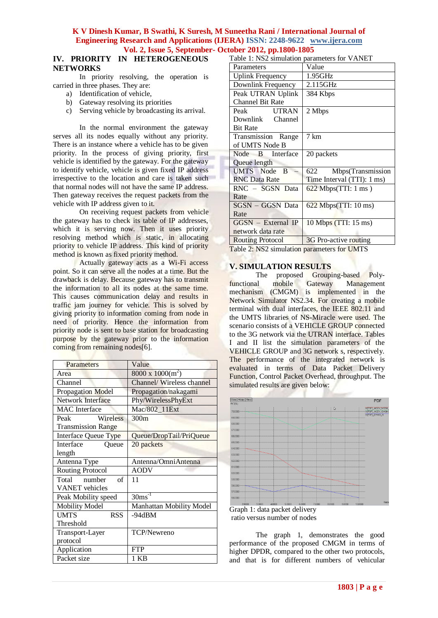### **IV. PRIORITY IN HETEROGENEOUS NETWORKS**

In priority resolving, the operation is carried in three phases. They are:

- a) Identification of vehicle,
- b) Gateway resolving its priorities
- c) Serving vehicle by broadcasting its arrival.

In the normal environment the gateway serves all its nodes equally without any priority. There is an instance where a vehicle has to be given priority. In the process of giving priority, first vehicle is identified by the gateway. For the gateway to identify vehicle, vehicle is given fixed IP address irrespective to the location and care is taken such that normal nodes will not have the same IP address. Then gateway receives the request packets from the vehicle with IP address given to it.

On receiving request packets from vehicle the gateway has to check its table of IP addresses, which it is serving now. Then it uses priority resolving method which is static, in allocating priority to vehicle IP address. This kind of priority method is known as fixed priority method.

Actually gateway acts as a Wi-Fi access point. So it can serve all the nodes at a time. But the drawback is delay. Because gateway has to transmit the information to all its nodes at the same time. This causes communication delay and results in traffic jam journey for vehicle. This is solved by giving priority to information coming from node in need of priority. Hence the information from priority node is sent to base station for broadcasting purpose by the gateway prior to the information coming from remaining nodes[6].

| Parameters                 | Value                    |
|----------------------------|--------------------------|
| Area                       | $8000 \times 1000(m^2)$  |
| Channel                    | Channel/Wireless channel |
| Propagation Model          | Propagation/nakagami     |
| Network Interface          | Phy/WirelessPhyExt       |
| <b>MAC</b> Interface       | Mac/802_11Ext            |
| Wireless<br>Peak           | 300 <sub>m</sub>         |
| <b>Transmission Range</b>  |                          |
| Interface Queue Type       | Queue/DropTail/PriQueue  |
| Interface<br>Oueue         | 20 packets               |
| length                     |                          |
| Antenna Type               | Antenna/OmniAntenna      |
| <b>Routing Protocol</b>    | <b>AODV</b>              |
| Total number<br>$\alpha$ f | 11                       |
| <b>VANET</b> vehicles      |                          |
| Peak Mobility speed        | $30ms^{-1}$              |
| <b>Mobility Model</b>      | Manhattan Mobility Model |
| <b>UMTS</b><br><b>RSS</b>  | -94dBM                   |
| Threshold                  |                          |
| Transport-Layer            | TCP/Newreno              |
| protocol                   |                          |
| Application                | <b>FTP</b>               |
| Packet size                | 1 KB                     |

Table 1: NS2 simulation parameters for VANET

| Parameters              | Value                      |
|-------------------------|----------------------------|
| <b>Uplink Frequency</b> | 1.95GHz                    |
| Downlink Frequency      | $2.115$ GHz                |
| Peak UTRAN Uplink       | 384 Kbps                   |
| <b>Channel Bit Rate</b> |                            |
| <b>UTRAN</b><br>Peak    | 2 Mbps                     |
| Downlink Channel        |                            |
| <b>Bit Rate</b>         |                            |
| Transmission Range      | 7 km                       |
| of UMTS Node B          |                            |
| Node B Interface        | 20 packets                 |
| Queue length            |                            |
| <b>UMTS</b> Node B      | Mbps(Transmission<br>622   |
| <b>RNC</b> Data Rate    | Time Interval (TTI): 1 ms) |
| RNC - SGSN Data         | $622$ Mbps(TTI: 1 ms)      |
| Rate                    |                            |
| <b>SGSN</b> - GGSN Data | $622$ Mbps(TTI: 10 ms)     |
| Rate                    |                            |
| $GGSN - External IP$    | 10 Mbps (TTI: 15 ms)       |
| network data rate       |                            |
| <b>Routing Protocol</b> | 3G Pro-active routing      |

Table 2: NS2 simulation parameters for UMTS

#### **V. SIMULATION RESULTS**

The proposed Grouping-based Polyfunctional mobile Gateway Management mechanism (CMGM) is implemented in the Network Simulator NS2.34. For creating a mobile terminal with dual interfaces, the IEEE 802.11 and the UMTS libraries of NS-Miracle were used. The scenario consists of a VEHICLE GROUP connected to the 3G network via the UTRAN interface. Tables I and II list the simulation parameters of the VEHICLE GROUP and 3G network s, respectively. The performance of the integrated network is evaluated in terms of Data Packet Delivery Function, Control Packet Overhead, throughput. The simulated results are given below:



ratio versus number of nodes

The graph 1, demonstrates the good performance of the proposed CMGM in terms of higher DPDR, compared to the other two protocols, and that is for different numbers of vehicular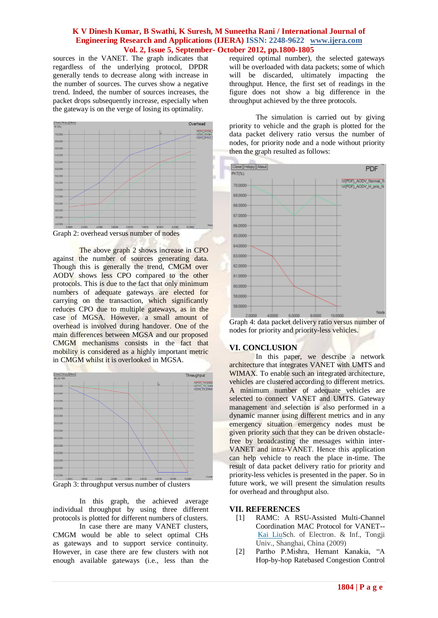sources in the VANET. The graph indicates that regardless of the underlying protocol, DPDR generally tends to decrease along with increase in the number of sources. The curves show a negative trend. Indeed, the number of sources increases, the packet drops subsequently increase, especially when the gateway is on the verge of losing its optimality.



Graph 2: overhead versus number of nodes

The above graph 2 shows increase in CPO against the number of sources generating data. Though this is generally the trend, CMGM over AODV shows less CPO compared to the other protocols. This is due to the fact that only minimum numbers of adequate gateways are elected for carrying on the transaction, which significantly reduces CPO due to multiple gateways, as in the case of MGSA. However, a small amount of overhead is involved during handover. One of the main differences between MGSA and our proposed CMGM mechanisms consists in the fact that mobility is considered as a highly important metric in CMGM whilst it is overlooked in MGSA.



Graph 3: throughput versus number of clusters

In this graph, the achieved average individual throughput by using three different protocols is plotted for different numbers of clusters.

In case there are many VANET clusters, CMGM would be able to select optimal CHs as gateways and to support service continuity. However, in case there are few clusters with not enough available gateways (i.e., less than the required optimal number), the selected gateways will be overloaded with data packets; some of which will be discarded, ultimately impacting the throughput. Hence, the first set of readings in the figure does not show a big difference in the throughput achieved by the three protocols.

The simulation is carried out by giving priority to vehicle and the graph is plotted for the data packet delivery ratio versus the number of nodes, for priority node and a node without priority then the graph resulted as follows:



Graph 4: data packet delivery ratio versus number of nodes for priority and priority-less vehicles.

## **VI. CONCLUSION**

In this paper, we describe a network architecture that integrates VANET with UMTS and WIMAX. To enable such an integrated architecture, vehicles are clustered according to different metrics. A minimum number of adequate vehicles are selected to connect VANET and UMTS. Gateway management and selection is also performed in a dynamic manner using different metrics and in any emergency situation emergency nodes must be given priority such that they can be driven obstaclefree by broadcasting the messages within inter-VANET and intra-VANET. Hence this application can help vehicle to reach the place in-time. The result of data packet delivery ratio for priority and priority-less vehicles is presented in the paper. So in future work, we will present the simulation results for overhead and throughput also.

## **VII. REFERENCES**

- [1] RAMC: A RSU-Assisted Multi-Channel Coordination MAC Protocol for VANET-- [Kai LiuS](http://ieeexplore.ieee.org/search/searchresult.jsp?searchWithin=p_Authors:.QT.Kai%20Liu.QT.&newsearch=partialPref)ch. of Electron. & Inf., Tongji Univ., Shanghai, China (2009)
- [2] Partho P.Mishra, Hemant Kanakia, "A Hop-by-hop Ratebased Congestion Control